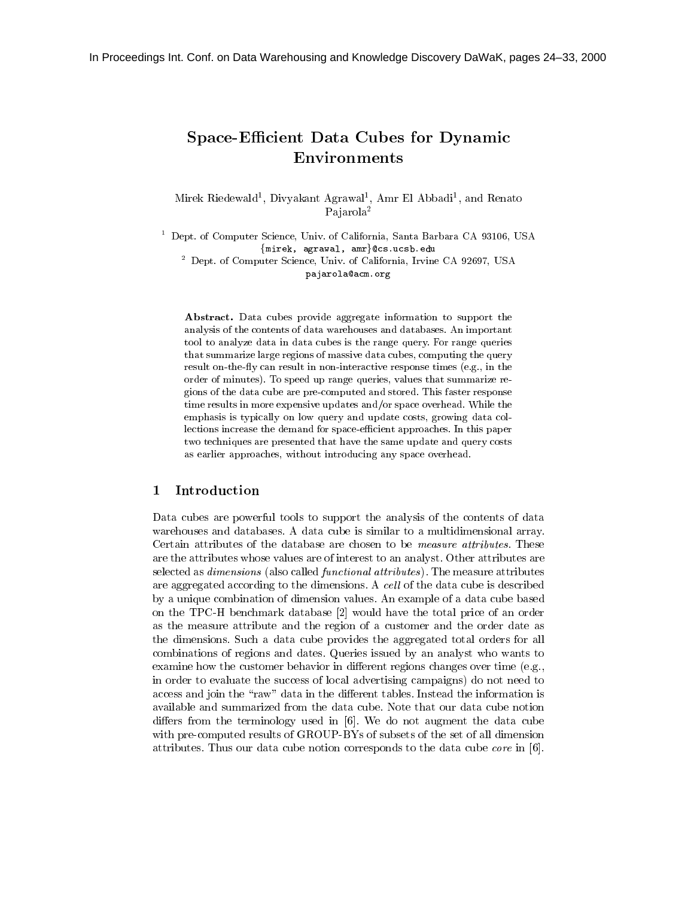# Space-Efficient Data Cubes for Dynamic Environments

Mirek Riedewald<sup>1</sup> , Divyakant Agrawal1 , Amr El Abbadi1 , and Renato Pajarola<sup>2</sup>

<sup>1</sup> Dept. of Computer Science, Univ. of California, Santa Barbara CA 93106, USA {mirek, agrawal, amr}@cs.ucsb.edu

<sup>2</sup> Dept. of Computer Science, Univ. of California, Irvine CA 92697, USA pajarola@acm.org

Abstract. Data cubes provide aggregate information to support the analysis of the contents of data warehouses and databases. An important tool to analyze data in data cubes is the range query. For range queries that summarize large regions of massive data cubes, computing the query result on-the-fly can result in non-interactive response times (e.g., in the order of minutes). To speed up range queries, values that summarize regions of the data cube are pre-computed and stored. This faster response time results in more expensive updates and/or space overhead. While the emphasis is typically on low query and update costs, growing data collections increase the demand for space-efficient approaches. In this paper two techniques are presented that have the same update and query costs as earlier approaches, without introducing any space overhead.

### <sup>1</sup> Introduction

Data cubes are powerful tools to support the analysis of the contents of data warehouses and databases. A data cube is similar to a multidimensional array. Certain attributes of the database are chosen to be measure attributes. These are the attributes whose values are of interest to an analyst. Other attributes are selected as *dimensions* (also called *functional attributes*). The measure attributes are aggregated according to the dimensions. A cell of the data cube is described by a unique combination of dimension values. An example of a data cube based on the TPC-H benchmark database [2] would have the total price of an order as the measure attribute and the region of a customer and the order date as the dimensions. Such a data cube provides the aggregated total orders for all combinations of regions and dates. Queries issued by an analyst who wants to examine how the customer behavior in different regions changes over time  $(e.g.,)$ in order to evaluate the success of local advertising campaigns) do not need to access and join the "raw" data in the different tables. Instead the information is available and summarized from the data cube. Note that our data cube notion differs from the terminology used in  $[6]$ . We do not augment the data cube with pre-computed results of GROUP-BYs of subsets of the set of all dimension attributes. Thus our data cube notion corresponds to the data cube core in [6].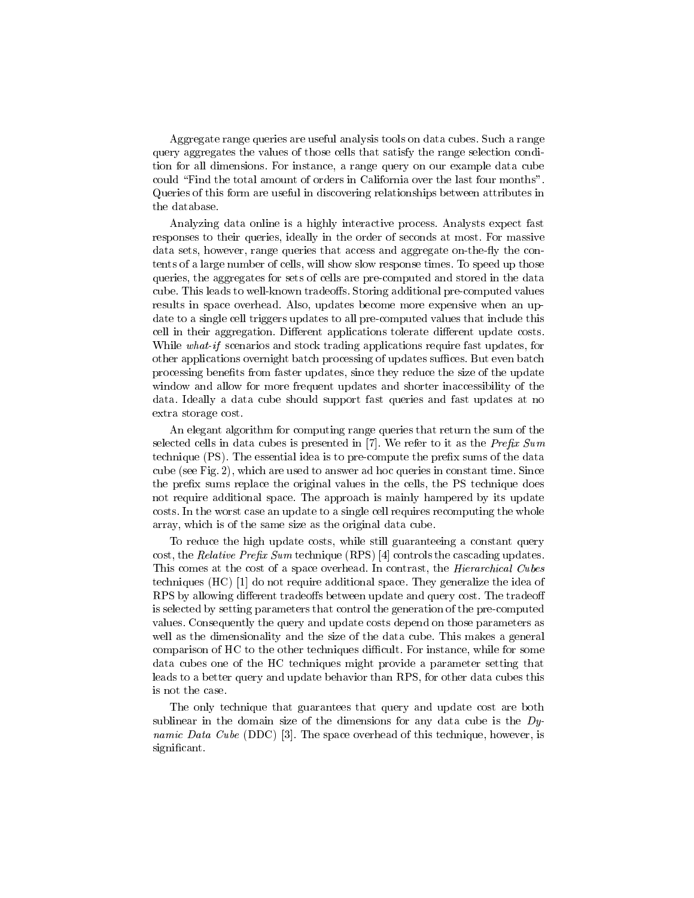Aggregate range queries are useful analysis tools on data cubes. Such a range query aggregates the values of those cells that satisfy the range selection condition for all dimensions. For instance, a range query on our example data cube could "Find the total amount of orders in California over the last four months". Queries of this form are useful in discovering relationships between attributes in the database.

Analyzing data online is a highly interactive process. Analysts expect fast responses to their queries, ideally in the order of seconds at most. For massive data sets, however, range queries that access and aggregate on-the-fly the contents of a large number of cells, will show slow response times. To speed up those queries, the aggregates for sets of cells are pre-computed and stored in the data cube. This leads to well-known tradeoffs. Storing additional pre-computed values results in space overhead. Also, updates become more expensive when an update to a single cell triggers updates to all pre-computed values that include this cell in their aggregation. Different applications tolerate different update costs. While what-if scenarios and stock trading applications require fast updates, for other applications overnight batch processing of updates suffices. But even batch processing benefits from faster updates, since they reduce the size of the update window and allow for more frequent updates and shorter inaccessibility of the data. Ideally a data cube should support fast queries and fast updates at no extra storage cost.

An elegant algorithm for computing range queries that return the sum of the selected cells in data cubes is presented in  $[7]$ . We refer to it as the Prefix Sum technique (PS). The essential idea is to pre-compute the prefix sums of the data cube (see Fig. 2), which are used to answer ad hoc queries in constant time. Since the prefix sums replace the original values in the cells, the PS technique does not require additional space. The approach is mainly hampered by its update costs. In the worst case an update to a single cell requires recomputing the whole array, which is of the same size as the original data cube.

To reduce the high update costs, while still guaranteeing a constant query cost, the Relative Prefix Sum technique  $(RPS)$  [4] controls the cascading updates. This comes at the cost of a space overhead. In contrast, the *Hierarchical Cubes* techniques (HC) [1] do not require additional space. They generalize the idea of RPS by allowing different tradeoffs between update and query cost. The tradeoff is selected by setting parameters that control the generation of the pre-computed values. Consequently the query and update costs depend on those parameters as well as the dimensionality and the size of the data cube. This makes a general comparison of HC to the other techniques difficult. For instance, while for some data cubes one of the HC techniques might provide a parameter setting that leads to a better query and update behavior than RPS, for other data cubes this is not the case.

The only technique that guarantees that query and update cost are both sublinear in the domain size of the dimensions for any data cube is the  $D_y$ namic Data Cube (DDC) [3]. The space overhead of this technique, however, is significant.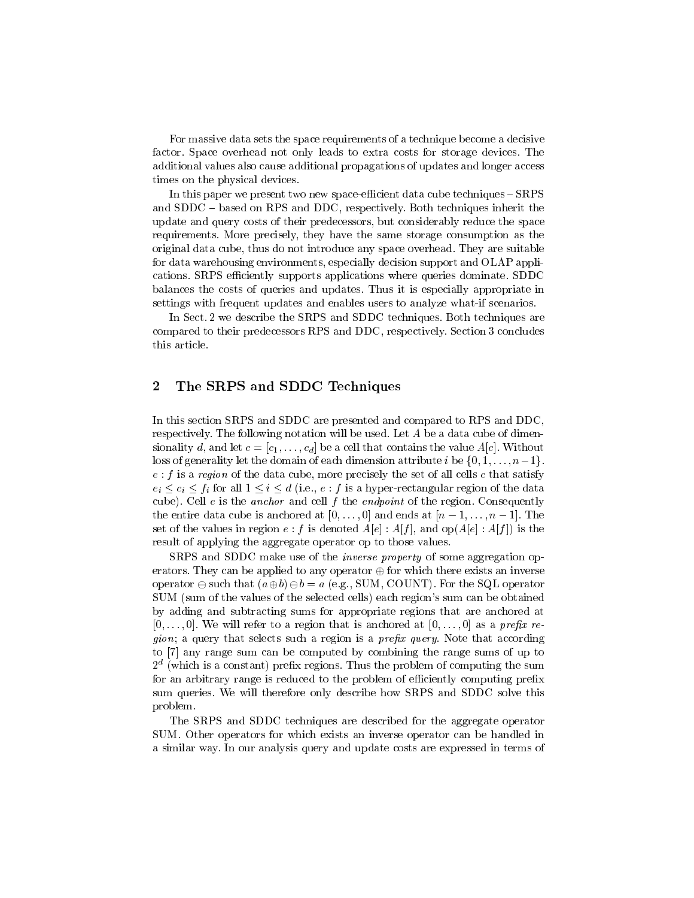For massive data sets the space requirements of a technique become a decisive factor. Space overhead not only leads to extra costs for storage devices. The additional values also cause additional propagations of updates and longer access times on the physical devices.

In this paper we present two new space-efficient data cube techniques  ${\rm -SRES}$ and  $SDDC - based$  on RPS and DDC, respectively. Both techniques inherit the update and query costs of their predecessors, but considerably reduce the space requirements. More precisely, they have the same storage consumption as the original data cube, thus do not introduce any space overhead. They are suitable for data warehousing environments, especially decision support and OLAP applications. SRPS efficiently supports applications where queries dominate. SDDC balances the costs of queries and updates. Thus it is especially appropriate in settings with frequent updates and enables users to analyze what-if scenarios.

In Sect. 2 we describe the SRPS and SDDC techniques. Both techniques are compared to their predecessors RPS and DDC, respectively. Section 3 concludes this article.

# <sup>2</sup> The SRPS and SDDC Techniques

In this section SRPS and SDDC are presented and compared to RPS and DDC, respectively. The following notation will be used. Let A be a data cube of dimensionality d, and let  $c = [c_1, \ldots, c_d]$  be a cell that contains the value  $A[c]$ . Without loss of generality let the domain of each dimension attribute i be  $\{0, 1, \ldots, n-1\}$ .  $e : f$  is a region of the data cube, more precisely the set of all cells c that satisfy  $e_i \leq c_i \leq f_i$  for all  $1 \leq i \leq d$  (i.e.,  $e : f$  is a hyper-rectangular region of the data cube). Cell  $e$  is the anchor and cell  $f$  the endpoint of the region. Consequently the entire data cube is anchored at  $[0,\ldots,0]$  and ends at  $[n-1,\ldots,n-1]$ . The set of the values in region  $e : f$  is denoted  $A[e] : A[f]$ , and  $op(A[e] : A[f])$  is the result of applying the aggregate operator op to those values.

SRPS and SDDC make use of the *inverse property* of some aggregation operators. They can be applied to any operator  $\oplus$  for which there exists an inverse operator  $\ominus$  such that  $(a \oplus b) \ominus b = a$  (e.g., SUM, COUNT). For the SQL operator SUM (sum of the values of the selected cells) each region's sum can be obtained by adding and subtracting sums for appropriate regions that are anchored at  $[0,\ldots,0]$ . We will refer to a region that is anchored at  $[0,\ldots,0]$  as a prefix re*gion*; a query that selects such a region is a *prefix query*. Note that according to [7] any range sum can be computed by combining the range sums of up to  $2^\circ$  (which is a constant) prenx regions. I hus the problem of computing the sum for an arbitrary range is reduced to the problem of efficiently computing prefix sum queries. We will therefore only describe how SRPS and SDDC solve this problem.

The SRPS and SDDC techniques are described for the aggregate operator SUM. Other operators for which exists an inverse operator can be handled in a similar way. In our analysis query and update costs are expressed in terms of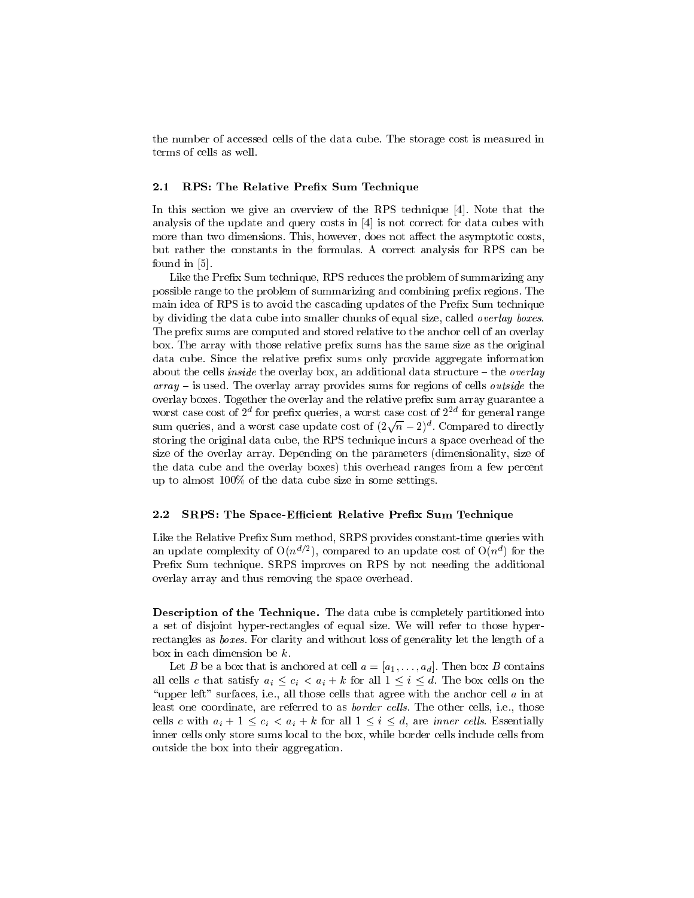the number of accessed cells of the data cube. The storage cost is measured in terms of cells as well.

#### 2.1RPS: The Relative Prefix Sum Technique

In this section we give an overview of the RPS technique [4]. Note that the analysis of the update and query costs in [4] is not correct for data cubes with more than two dimensions. This, however, does not affect the asymptotic costs, but rather the constants in the formulas. A correct analysis for RPS can be found in [5].

Like the Prefix Sum technique, RPS reduces the problem of summarizing any possible range to the problem of summarizing and combining prefix regions. The main idea of RPS is to avoid the cascading updates of the Prefix Sum technique by dividing the data cube into smaller chunks of equal size, called overlay boxes. The prefix sums are computed and stored relative to the anchor cell of an overlay box. The array with those relative prefix sums has the same size as the original data cube. Since the relative prefix sums only provide aggregate information about the cells *inside* the overlay box, an additional data structure  ${\bf -}$  the *overlay*  $array -$  is used. The overlay array provides sums for regions of cells *outside* the overlay boxes. Together the overlay and the relative prefix sum array guarantee a worst case cost of  $2^\circ$  for prenx queries, a worst case cost of  $2^\circ$  for general range sum queries, and a worst case update cost of  $(2\sqrt{n}-2)^d$ . Compared to directly storing the original data cube, the RPS technique incurs a space overhead of the size of the overlay array. Depending on the parameters (dimensionality, size of the data cube and the overlay boxes) this overhead ranges from a few percent up to almost 100% of the data cube size in some settings.

#### 2.2SRPS: The Space-Efficient Relative Prefix Sum Technique

Like the Relative Prefix Sum method, SRPS provides constant-time queries with an update complexity of  $O(n \leq l)$ , compared to an update cost of  $O(n \leq l)$  for the Prefix Sum technique. SRPS improves on RPS by not needing the additional overlay array and thus removing the space overhead.

Description of the Technique. The data cube is completely partitioned into a set of disjoint hyper-rectangles of equal size. We will refer to those hyperrectangles as boxes. For clarity and without loss of generality let the length of a box in each dimension be  $k$ .

Let B be a box that is anchored at cell  $a = [a_1, \ldots, a_d]$ . Then box B contains all cells c that satisfy  $a_i \leq c_i < a_i + k$  for all  $1 \leq i \leq d$ . The box cells on the "upper left" surfaces, i.e., all those cells that agree with the anchor cell  $a$  in at least one coordinate, are referred to as *border cells*. The other cells, i.e., those cells c with  $a_i + 1 \leq c_i \leq a_i + k$  for all  $1 \leq i \leq d$ , are *inner cells*. Essentially inner cells only store sums local to the box, while border cells include cells from outside the box into their aggregation.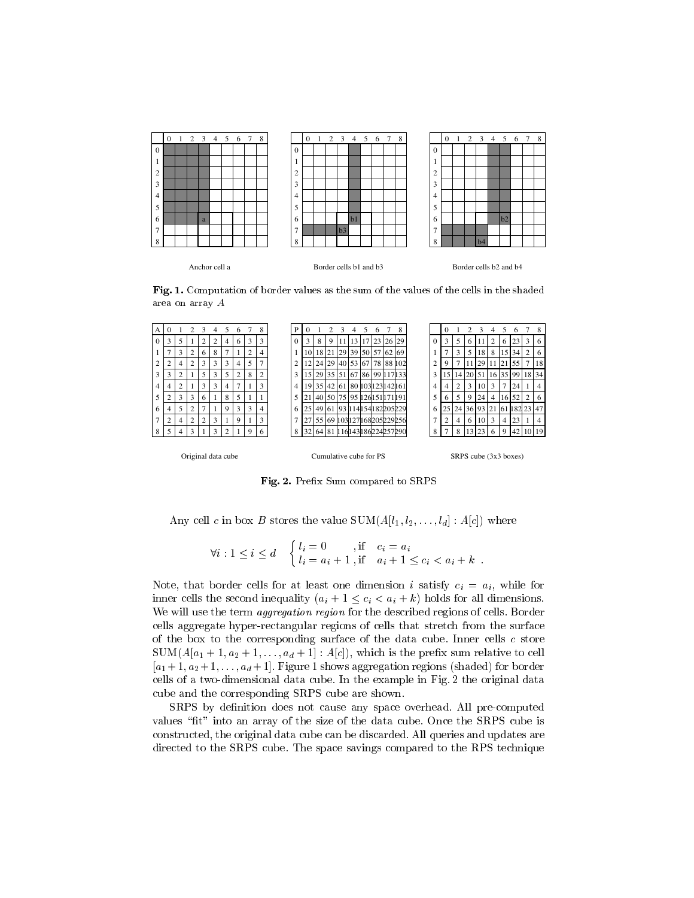

Fig. 1. Computation of border values as the sum of the values of the cells in the shaded area on array A



Fig. 2. Prex Sum compared to SRPS

Any cell c in box B stores the value  $SUM(A[l_1, l_2, \ldots, l_d] : A[c])$  where

$$
\forall i: 1 \le i \le d \quad \begin{cases} l_i = 0 & , \text{if } c_i = a_i \\ l_i = a_i + 1 & , \text{if } a_i + 1 \le c_i < a_i + k \end{cases}.
$$

Note, that border cells for at least one dimension i satisfy  $c_i = a_i$ , while for inner cells the second inequality  $(a_i + 1 \leq c_i < a_i + k)$  holds for all dimensions. We will use the term *aggregation region* for the described regions of cells. Border cells aggregate hyper-rectangular regions of cells that stretch from the surface of the box to the corresponding surface of the data cube. Inner cells  $c$  store  $SUM(A[a_1 + 1, a_2 + 1, \ldots, a_d + 1]: A[c])$ , which is the prefix sum relative to cell  $[a_1 + 1, a_2 + 1, \ldots, a_d + 1]$ . Figure 1 shows aggregation regions (shaded) for border cells of a two-dimensional data cube. In the example in Fig. 2 the original data cube and the corresponding SRPS cube are shown.

SRPS by definition does not cause any space overhead. All pre-computed values "fit" into an array of the size of the data cube. Once the SRPS cube is constructed, the original data cube can be discarded. All queries and updates are directed to the SRPS cube. The space savings compared to the RPS technique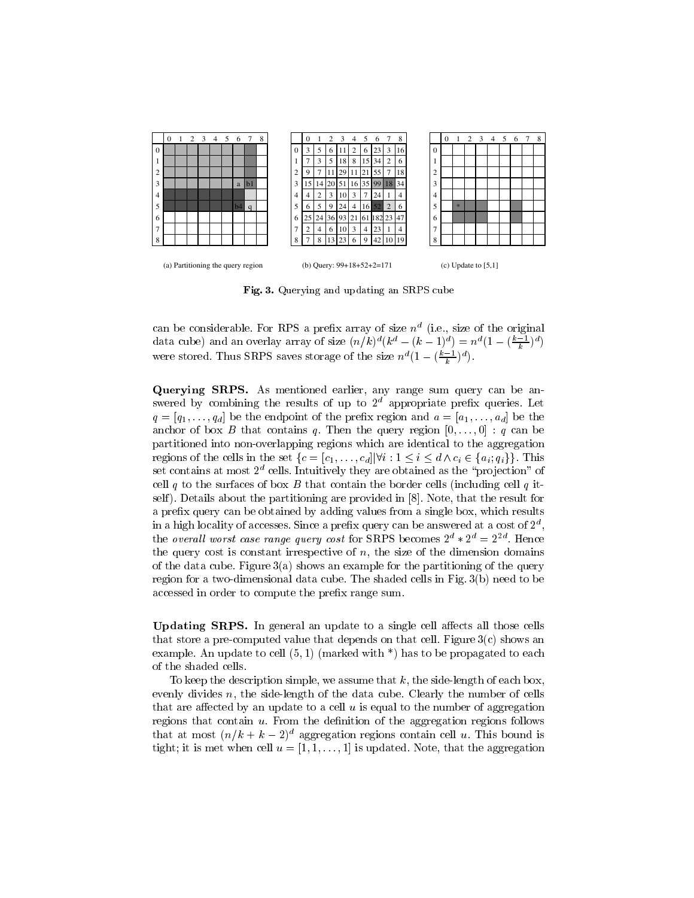

Fig. 3. Querying and updating an SRPS cube

can be considerable. For RPS a prefix array of size  $n^d$  (i.e., size of the original  $\mathbf{I}$  (i.e., size of the original contract of the original contract of the original contract of the original contract of the original contract of the original contract of the original contract of the original contract data cube) and an overlay array of size  $(n/k)^{\alpha}(k^{\alpha} - (k-1)^{\alpha}) = n^{\alpha}(1 - (\frac{n-k}{k})^{\alpha})$ were stored. I hus SRPS saves storage of the size  $n^{\alpha}(1-(\frac{\alpha+1}{\lambda})^{\alpha})$ .

Querying SRPS. As mentioned earlier, any range sum query can be answered by combining the results of up to  $2<sup>d</sup>$  appropriate prefix queries. Let  $q = [q_1, \ldots, q_d]$  be the endpoint of the prefix region and  $a = [a_1, \ldots, a_d]$  be the anchor of box B that contains q. Then the query region  $[0,\ldots,0]$  : q can be partitioned into non-overlapping regions which are identical to the aggregation regions of the cells in the set  $\{c = [c_1,\ldots,c_d] | \forall i : 1 \le i \le d \land c_i \in \{a_i; q_i\} \}$ . This set contains at most  $2^d$  cells. Intuitively they are obtained as the "projection" of cell q to the surfaces of box B that contain the border cells (including cell q itself). Details about the partitioning are provided in [8]. Note, that the result for a prefix query can be obtained by adding values from a single box, which results in a high locality of accesses. Since a prefix query can be answered at a cost of  $2^d$ , , the *overall worst case range query cost* for SRPS becomes  $2^a * 2^a = 2^{2a}$ . Hence the query cost is constant irrespective of  $n$ , the size of the dimension domains of the data cube. Figure  $3(a)$  shows an example for the partitioning of the query region for a two-dimensional data cube. The shaded cells in Fig. 3(b) need to be accessed in order to compute the prefix range sum.

Updating SRPS. In general an update to a single cell aects all those cells that store a pre-computed value that depends on that cell. Figure  $3(c)$  shows an example. An update to cell  $(5,1)$  (marked with  $*)$  has to be propagated to each of the shaded cells.

To keep the description simple, we assume that  $k$ , the side-length of each box, evenly divides n, the side-length of the data cube. Clearly the number of cells that are affected by an update to a cell  $u$  is equal to the number of aggregation regions that contain  $u$ . From the definition of the aggregation regions follows that at most  $(n/k + k - 2)^d$  aggregation regions contain cell u. This bound is tight; it is met when cell  $u = [1, 1, \ldots, 1]$  is updated. Note, that the aggregation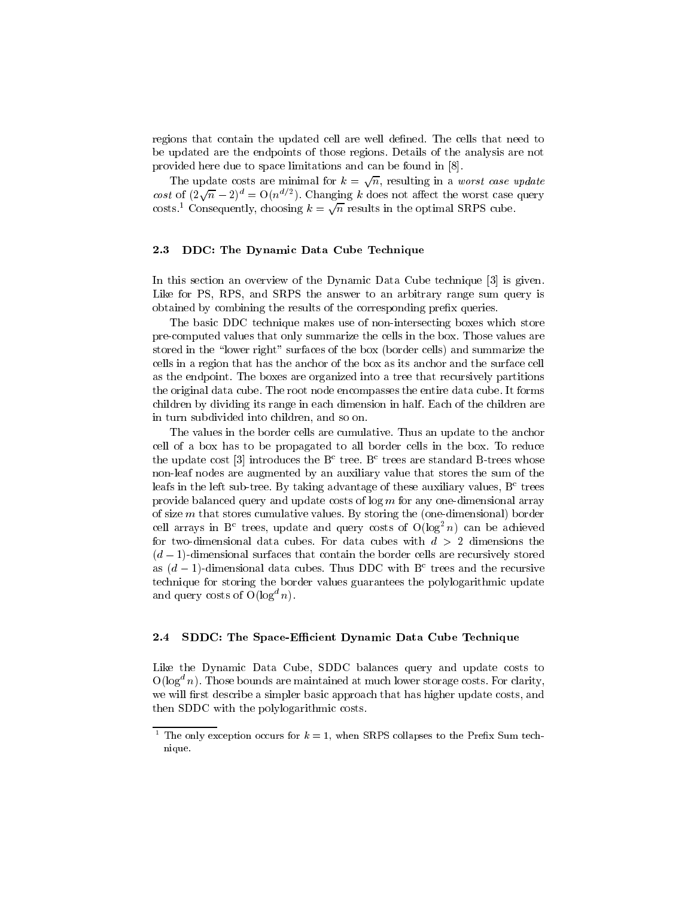regions that contain the updated cell are well defined. The cells that need to be updated are the endpoints of those regions. Details of the analysis are not provided here due to space limitations and can be found in [8].

The update costs are minimal for  $k = \sqrt{n}$ , resulting in a worst case update cost of  $(2\sqrt{n}-2)^d = O(n^{d/2})$ . Changing k does not affect the worst case query costs.<sup>1</sup> Consequently, choosing  $k = \sqrt{n}$  results in the optimal SRPS cube.

#### 2.3DDC: The Dynamic Data Cube Technique

In this section an overview of the Dynamic Data Cube technique [3] is given. Like for PS, RPS, and SRPS the answer to an arbitrary range sum query is obtained by combining the results of the corresponding prefix queries.

The basic DDC technique makes use of non-intersecting boxes which store pre-computed values that only summarize the cells in the box. Those values are stored in the "lower right" surfaces of the box (border cells) and summarize the cells in a region that has the anchor of the box as its anchor and the surface cell as the endpoint. The boxes are organized into a tree that recursively partitions the original data cube. The root node encompasses the entire data cube. It forms children by dividing its range in each dimension in half. Each of the children are in turn subdivided into children, and so on.

The values in the border cells are cumulative. Thus an update to the anchor cell of a box has to be propagated to all border cells in the box. To reduce the update cost [3] introduces the  $B<sup>c</sup>$  tree. B<sup>c</sup> trees are standard B-trees whose non-leaf nodes are augmented by an auxiliary value that stores the sum of the leafs in the left sub-tree. By taking advantage of these auxiliary values,  $B<sup>c</sup>$  trees provide balanced query and update costs of  $\log m$  for any one-dimensional array of size  $m$  that stores cumulative values. By storing the (one-dimensional) border cell arrays in  $B^{\circ}$  trees, update and query costs of  $O(log^{-}n)$  can be achieved for two-dimensional data cubes. For data cubes with  $d > 2$  dimensions the  $(d-1)$ -dimensional surfaces that contain the border cells are recursively stored as  $(d-1)$ -dimensional data cubes. Thus DDC with B<sup>c</sup> trees and the recursive technique for storing the border values guarantees the polylogarithmic update and query costs of  $O(\log^a n)$ .

#### 2.4SDDC: The Space-Efficient Dynamic Data Cube Technique

Like the Dynamic Data Cube, SDDC balances query and update costs to  $O(\log^d n)$ . Those bounds are maintained at much lower storage costs. For clarity, we will first describe a simpler basic approach that has higher update costs, and then SDDC with the polylogarithmic costs.

The only exception occurs for  $\kappa = 1$ , when SRPS collapses to the Prefix Sum technique.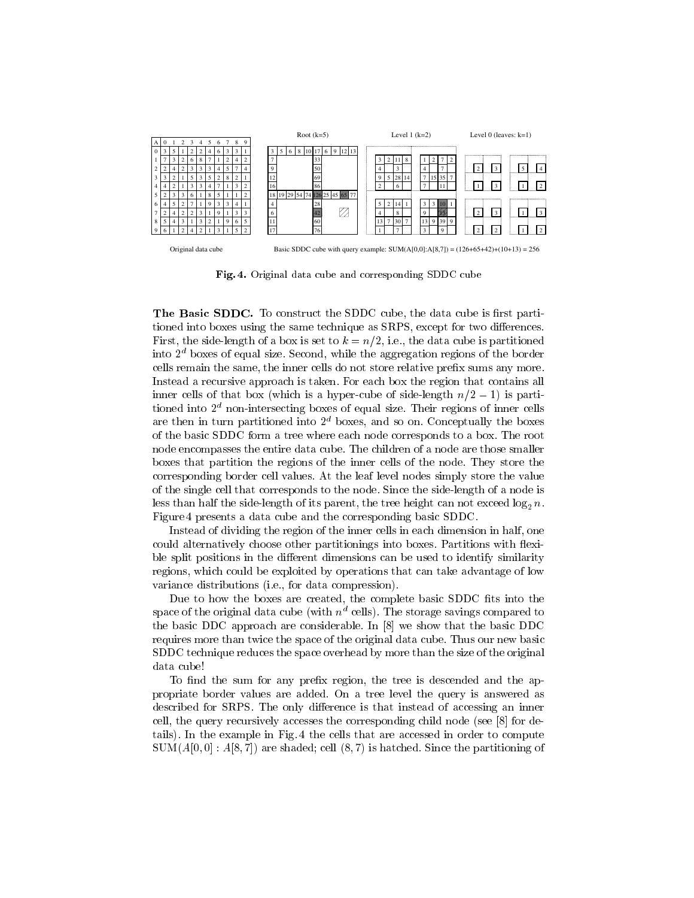

Fig. 4. Original data cube and corresponding SDDC cube

**The Basic SDDC.** To construct the SDDC cube, the data cube is lifst partitioned into boxes using the same technique as SRPS, except for two differences. First, the side-length of a box is set to  $k = n/2$ , i.e., the data cube is partitioned into  $2<sup>d</sup>$  boxes of equal size. Second, while the aggregation regions of the border cells remain the same, the inner cells do not store relative prex sums any more. Instead a recursive approach is taken. For each box the region that contains all inner cells of that box (which is a hyper-cube of side-length  $n/2 - 1$ ) is partitioned into  $2<sup>d</sup>$  non-intersecting boxes of equal size. Their regions of inner cells are then in turn partitioned into  $2<sup>d</sup>$  boxes, and so on. Conceptually the boxes of the basic SDDC form a tree where each node corresponds to a box. The root node encompasses the entire data cube. The children of a node are those smaller boxes that partition the regions of the inner cells of the node. They store the corresponding border cell values. At the leaf level nodes simply store the value of the single cell that corresponds to the node. Since the side-length of a node is less than half the side-length of its parent, the tree height can not exceed  $\log_2 n$ . Figure 4 presents a data cube and the corresponding basic SDDC.

Instead of dividing the region of the inner cells in each dimension in half, one could alternatively choose other partitionings into boxes. Partitions with flexible split positions in the different dimensions can be used to identify similarity regions, which could be exploited by operations that can take advantage of low variance distributions (i.e., for data compression).

Due to how the boxes are created, the complete basic SDDC fits into the space of the original data cube (with  $n^d$  cells). The storage savings compared to the basic DDC approach are considerable. In [8] we show that the basic DDC requires more than twice the space of the original data cube. Thus our new basic SDDC technique reduces the space overhead by more than the size of the original data cube!

To find the sum for any prefix region, the tree is descended and the appropriate border values are added. On a tree level the query is answered as described for SRPS. The only difference is that instead of accessing an inner cell, the query recursively accesses the corresponding child node (see [8] for details). In the example in Fig. 4 the cells that are accessed in order to compute  $SUM(A[0,0]: A[8,7])$  are shaded; cell  $(8,7)$  is hatched. Since the partitioning of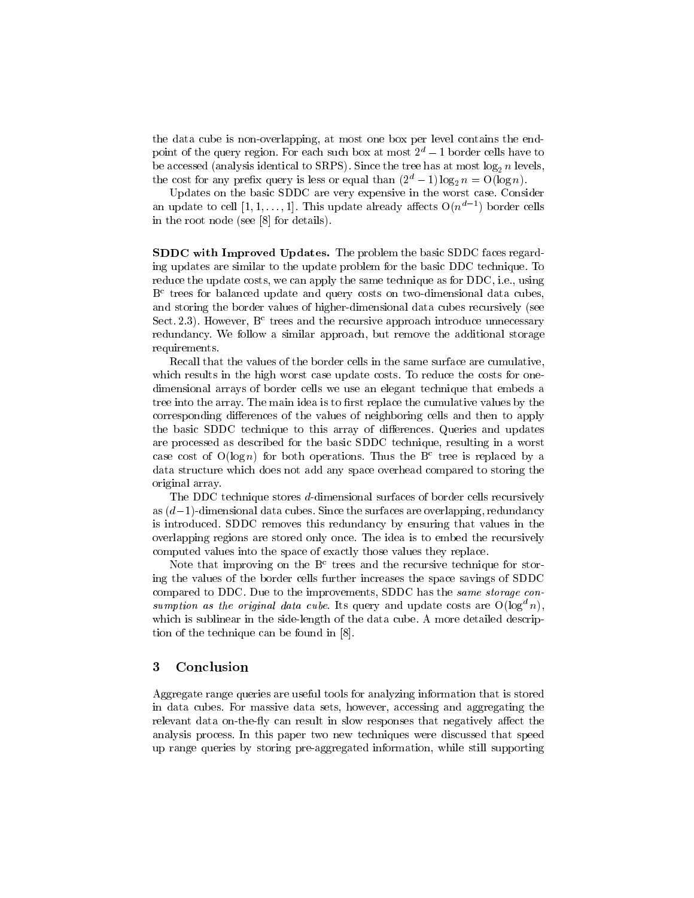the data cube is non-overlapping, at most one box per level contains the endpoint of the query region. For each such box at most  $2^d - 1$  border cells have to be accessed (analysis identical to SRPS). Since the tree has at most  $log_2 n$  levels, the cost for any prefix query is less or equal than  $(2^d - 1) \log_2 n = O(\log n)$ .

Updates on the basic SDDC are very expensive in the worst case. Consider an update to cell  $[1,1,\ldots,1]$ . Inis update already affects  $O(n^{\omega-1})$  border cells in the root node (see [8] for details).

SDDC with Improved Updates. The problem the basic SDDC faces regarding updates are similar to the update problem for the basic DDC technique. To reduce the update costs, we can apply the same technique as for DDC, i.e., using  $B<sup>c</sup>$  trees for balanced update and query costs on two-dimensional data cubes, and storing the border values of higher-dimensional data cubes recursively (see Sect. 2.3). However,  $B<sup>c</sup>$  trees and the recursive approach introduce unnecessary redundancy. We follow a similar approach, but remove the additional storage requirements.

Recall that the values of the border cells in the same surface are cumulative, which results in the high worst case update costs. To reduce the costs for onedimensional arrays of border cells we use an elegant technique that embeds a tree into the array. The main idea is to first replace the cumulative values by the corresponding differences of the values of neighboring cells and then to apply the basic SDDC technique to this array of differences. Queries and updates are processed as described for the basic SDDC technique, resulting in a worst case cost of  $O(\log n)$  for both operations. Thus the B<sup>c</sup> tree is replaced by a data structure which does not add any space overhead compared to storing the original array.

The DDC technique stores d-dimensional surfaces of border cells recursively as  $(d-1)$ -dimensional data cubes. Since the surfaces are overlapping, redundancy is introduced. SDDC removes this redundancy by ensuring that values in the overlapping regions are stored only once. The idea is to embed the recursively computed values into the space of exactly those values they replace.

Note that improving on the  $B<sup>c</sup>$  trees and the recursive technique for storing the values of the border cells further increases the space savings of SDDC compared to DDC. Due to the improvements, SDDC has the same storage consumption as the original data cube. Its query and update costs are  $O(\log^a n)$ , which is sublinear in the side-length of the data cube. A more detailed description of the technique can be found in [8].

# <sup>3</sup> Conclusion

Aggregate range queries are useful tools for analyzing information that is stored in data cubes. For massive data sets, however, accessing and aggregating the relevant data on-the-fly can result in slow responses that negatively affect the analysis process. In this paper two new techniques were discussed that speed up range queries by storing pre-aggregated information, while still supporting